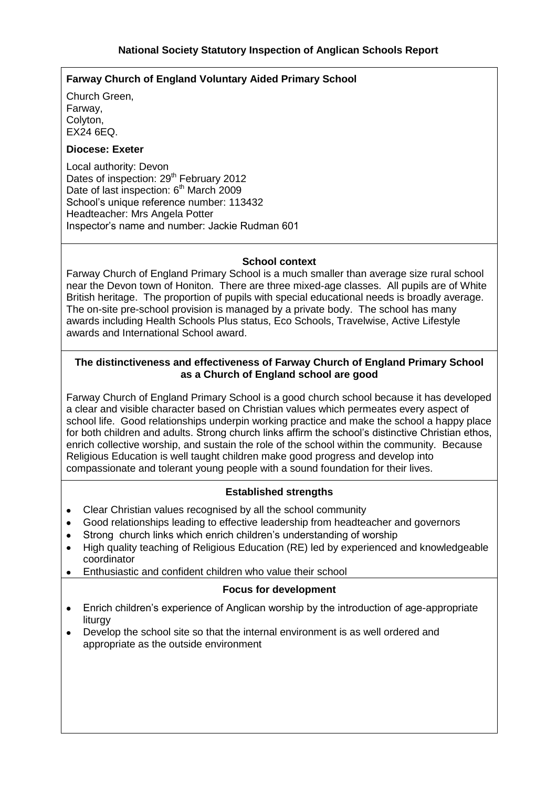## **Farway Church of England Voluntary Aided Primary School**

Church Green, Farway, Colyton,  $FX24$  6FQ.

### **Diocese: Exeter**

Local authority: Devon Dates of inspection: 29<sup>th</sup> February 2012 Date of last inspection: 6<sup>th</sup> March 2009 School's unique reference number: 113432 Headteacher: Mrs Angela Potter Inspector's name and number: Jackie Rudman 601

### **School context**

Farway Church of England Primary School is a much smaller than average size rural school near the Devon town of Honiton. There are three mixed-age classes. All pupils are of White British heritage. The proportion of pupils with special educational needs is broadly average. The on-site pre-school provision is managed by a private body. The school has many awards including Health Schools Plus status, Eco Schools, Travelwise, Active Lifestyle awards and International School award.

### **The distinctiveness and effectiveness of Farway Church of England Primary School as a Church of England school are good**

Farway Church of England Primary School is a good church school because it has developed a clear and visible character based on Christian values which permeates every aspect of school life. Good relationships underpin working practice and make the school a happy place for both children and adults. Strong church links affirm the school's distinctive Christian ethos, enrich collective worship, and sustain the role of the school within the community. Because Religious Education is well taught children make good progress and develop into compassionate and tolerant young people with a sound foundation for their lives.

### **Established strengths**

- Clear Christian values recognised by all the school community  $\bullet$
- Good relationships leading to effective leadership from headteacher and governors  $\bullet$
- Strong church links which enrich children's understanding of worship
- High quality teaching of Religious Education (RE) led by experienced and knowledgeable  $\bullet$ coordinator
- Enthusiastic and confident children who value their school

#### **Focus for development**

- $\bullet$ Enrich children's experience of Anglican worship by the introduction of age-appropriate liturgy
- Develop the school site so that the internal environment is as well ordered and appropriate as the outside environment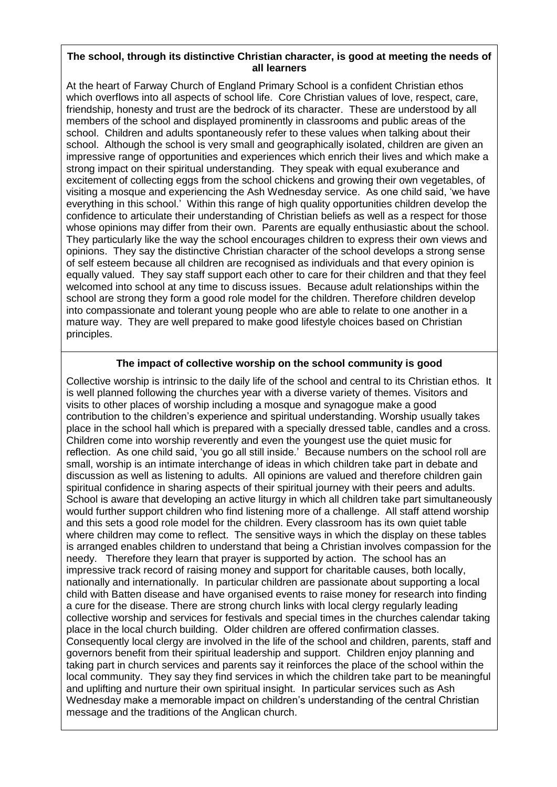### **The school, through its distinctive Christian character, is good at meeting the needs of all learners**

At the heart of Farway Church of England Primary School is a confident Christian ethos which overflows into all aspects of school life. Core Christian values of love, respect, care, friendship, honesty and trust are the bedrock of its character. These are understood by all members of the school and displayed prominently in classrooms and public areas of the school. Children and adults spontaneously refer to these values when talking about their school. Although the school is very small and geographically isolated, children are given an impressive range of opportunities and experiences which enrich their lives and which make a strong impact on their spiritual understanding. They speak with equal exuberance and excitement of collecting eggs from the school chickens and growing their own vegetables, of visiting a mosque and experiencing the Ash Wednesday service. As one child said, 'we have everything in this school.' Within this range of high quality opportunities children develop the confidence to articulate their understanding of Christian beliefs as well as a respect for those whose opinions may differ from their own. Parents are equally enthusiastic about the school. They particularly like the way the school encourages children to express their own views and opinions. They say the distinctive Christian character of the school develops a strong sense of self esteem because all children are recognised as individuals and that every opinion is equally valued. They say staff support each other to care for their children and that they feel welcomed into school at any time to discuss issues. Because adult relationships within the school are strong they form a good role model for the children. Therefore children develop into compassionate and tolerant young people who are able to relate to one another in a mature way. They are well prepared to make good lifestyle choices based on Christian principles.

# **The impact of collective worship on the school community is good**

Collective worship is intrinsic to the daily life of the school and central to its Christian ethos. It is well planned following the churches year with a diverse variety of themes. Visitors and visits to other places of worship including a mosque and synagogue make a good contribution to the children's experience and spiritual understanding. Worship usually takes place in the school hall which is prepared with a specially dressed table, candles and a cross. Children come into worship reverently and even the youngest use the quiet music for reflection. As one child said, 'you go all still inside.' Because numbers on the school roll are small, worship is an intimate interchange of ideas in which children take part in debate and discussion as well as listening to adults. All opinions are valued and therefore children gain spiritual confidence in sharing aspects of their spiritual journey with their peers and adults. School is aware that developing an active liturgy in which all children take part simultaneously would further support children who find listening more of a challenge. All staff attend worship and this sets a good role model for the children. Every classroom has its own quiet table where children may come to reflect. The sensitive ways in which the display on these tables is arranged enables children to understand that being a Christian involves compassion for the needy. Therefore they learn that prayer is supported by action. The school has an impressive track record of raising money and support for charitable causes, both locally, nationally and internationally. In particular children are passionate about supporting a local child with Batten disease and have organised events to raise money for research into finding a cure for the disease. There are strong church links with local clergy regularly leading collective worship and services for festivals and special times in the churches calendar taking place in the local church building. Older children are offered confirmation classes. Consequently local clergy are involved in the life of the school and children, parents, staff and governors benefit from their spiritual leadership and support. Children enjoy planning and taking part in church services and parents say it reinforces the place of the school within the local community. They say they find services in which the children take part to be meaningful and uplifting and nurture their own spiritual insight. In particular services such as Ash Wednesday make a memorable impact on children's understanding of the central Christian message and the traditions of the Anglican church.